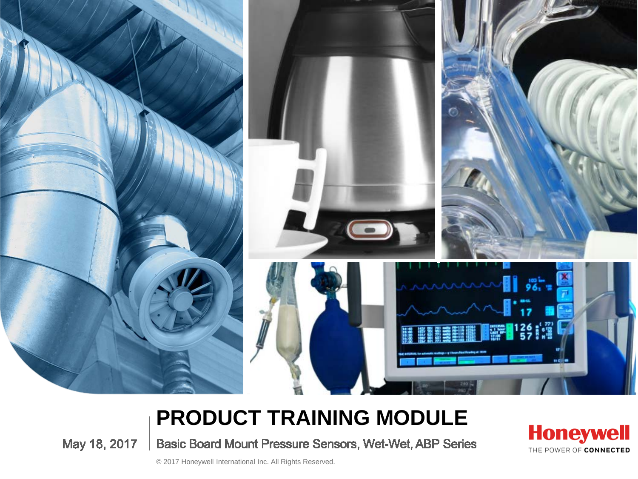

#### **PRODUCT TRAINING MODULE**

May 18, 2017 Basic Board Mount Pressure Sensors, Wet-Wet, ABP Series **Honeywell** THE POWER OF CONNECTED

© 2017 Honeywell International Inc. All Rights Reserved.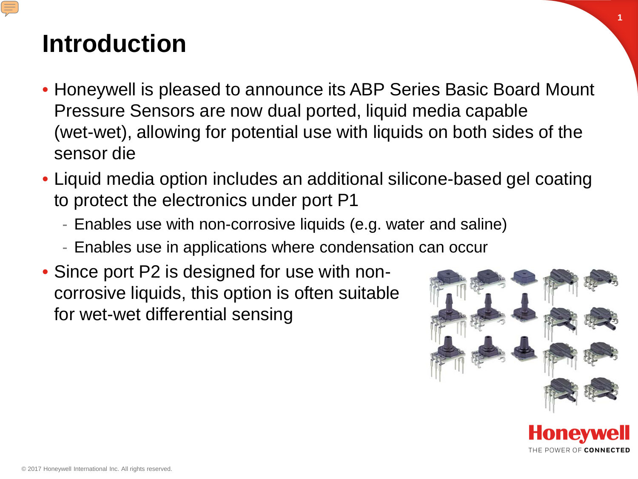### **Introduction**

- Honeywell is pleased to announce its ABP Series Basic Board Mount Pressure Sensors are now dual ported, liquid media capable (wet-wet), allowing for potential use with liquids on both sides of the sensor die
- Liquid media option includes an additional silicone-based gel coating to protect the electronics under port P1
	- Enables use with non-corrosive liquids (e.g. water and saline)
	- Enables use in applications where condensation can occur
- Since port P2 is designed for use with noncorrosive liquids, this option is often suitable for wet-wet differential sensing



**1**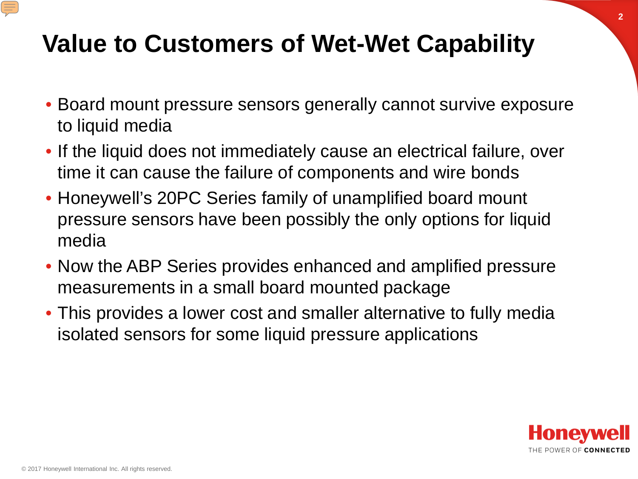## **Value to Customers of Wet-Wet Capability**

- Board mount pressure sensors generally cannot survive exposure to liquid media
- If the liquid does not immediately cause an electrical failure, over time it can cause the failure of components and wire bonds
- Honeywell's 20PC Series family of unamplified board mount pressure sensors have been possibly the only options for liquid media
- Now the ABP Series provides enhanced and amplified pressure measurements in a small board mounted package
- This provides a lower cost and smaller alternative to fully media isolated sensors for some liquid pressure applications

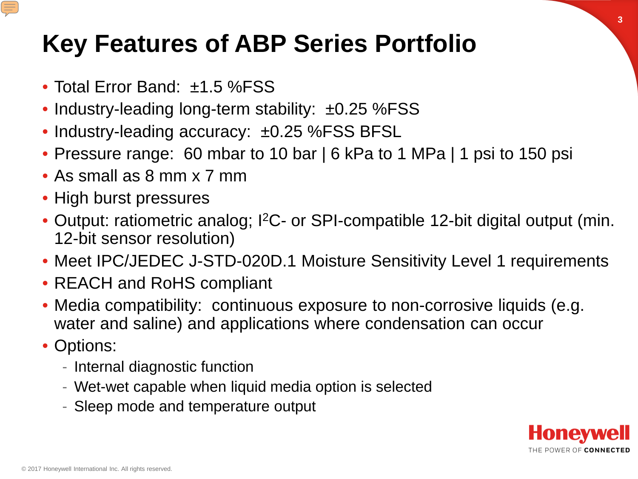## **Key Features of ABP Series Portfolio**

- Total Error Band: ±1.5 %FSS
- Industry-leading long-term stability: ±0.25 %FSS
- Industry-leading accuracy: ±0.25 %FSS BFSL
- Pressure range: 60 mbar to 10 bar | 6 kPa to 1 MPa | 1 psi to 150 psi
- As small as 8 mm x 7 mm
- High burst pressures
- Output: ratiometric analog; I<sup>2</sup>C- or SPI-compatible 12-bit digital output (min. 12-bit sensor resolution)
- Meet IPC/JEDEC J-STD-020D.1 Moisture Sensitivity Level 1 requirements
- REACH and RoHS compliant
- Media compatibility: continuous exposure to non-corrosive liquids (e.g. water and saline) and applications where condensation can occur
- Options:
	- Internal diagnostic function
	- Wet-wet capable when liquid media option is selected
	- Sleep mode and temperature output

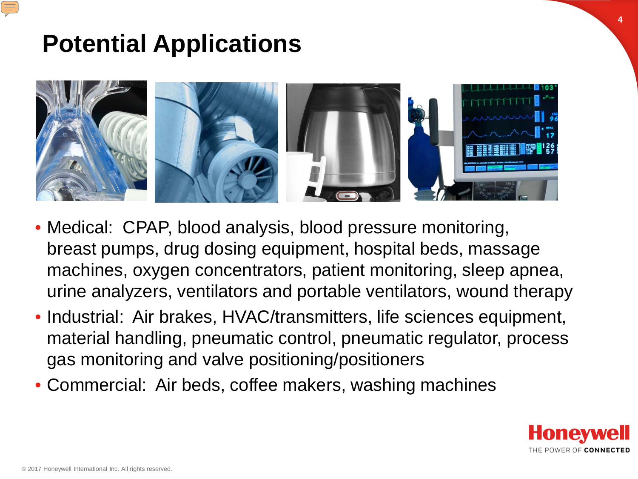## **Potential Applications**



- Medical: CPAP, blood analysis, blood pressure monitoring, breast pumps, drug dosing equipment, hospital beds, massage machines, oxygen concentrators, patient monitoring, sleep apnea, urine analyzers, ventilators and portable ventilators, wound therapy
- Industrial: Air brakes, HVAC/transmitters, life sciences equipment, material handling, pneumatic control, pneumatic regulator, process gas monitoring and valve positioning/positioners
- Commercial: Air beds, coffee makers, washing machines



**4**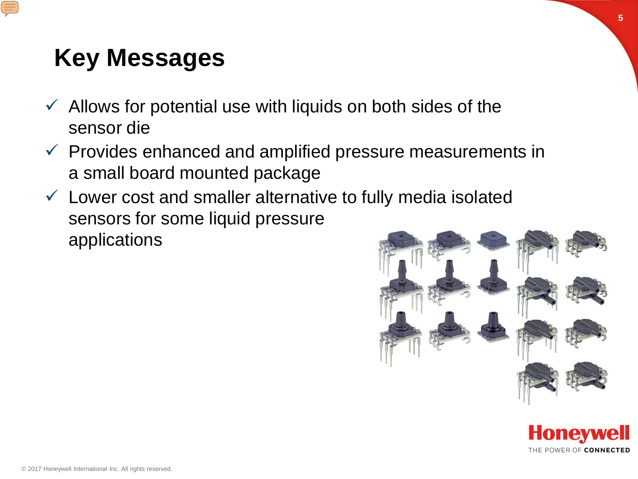# **Key Messages**

- $\checkmark$  Allows for potential use with liquids on both sides of the sensor die
- $\checkmark$  Provides enhanced and amplified pressure measurements in a small board mounted package
- $\checkmark$  Lower cost and smaller alternative to fully media isolated sensors for some liquid pressure applications





**5**